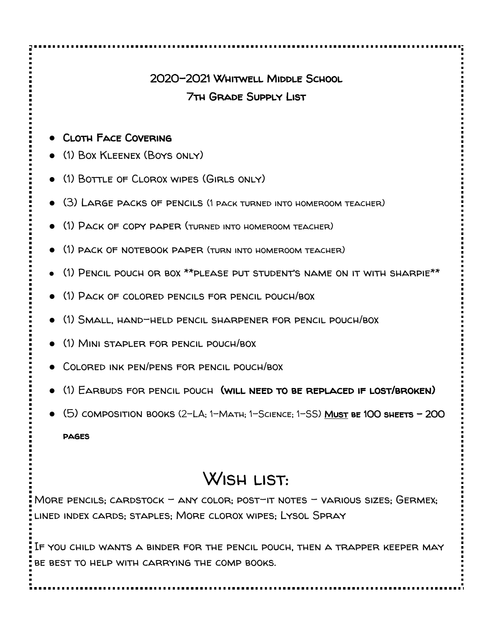## 2020-2021 Whitwell Middle School 7th Grade Supply List

- Cloth Face Covering
- (1) Box Kleenex (Boys only)
- (1) Bottle of Clorox wipes (Girls only)
- (3) Large packs of pencils (1 pack turned into homeroom teacher)
- (1) Pack of copy paper (turned into homeroom teacher)
- (1) pack of notebook paper (turn into homeroom teacher)
- (1) Pencil pouch or box \*\*please put student's name on it with sharpie\*\*
- (1) Pack of colored pencils for pencil pouch/box
- (1) Small, hand-held pencil sharpener for pencil pouch/box
- (1) Mini stapler for pencil pouch/box
- Colored ink pen/pens for pencil pouch/box
- (1) Earbuds for pencil pouch (will need to be replaced if lost/broken)
- $\bullet$  (5) composition books (2-LA; 1-Math; 1-Science; 1-SS) Must be 100 sheets 200

pages

## WISH LIST:

MORE PENCILS; CARDSTOCK - ANY COLOR; POST-IT NOTES - VARIOUS SIZES;  $G$ ERMEX; lined index cards; staples; More clorox wipes; Lysol Spray

If you child wants a binder for the pencil pouch, then a trapper keeper may be best to help with carrying the comp books.